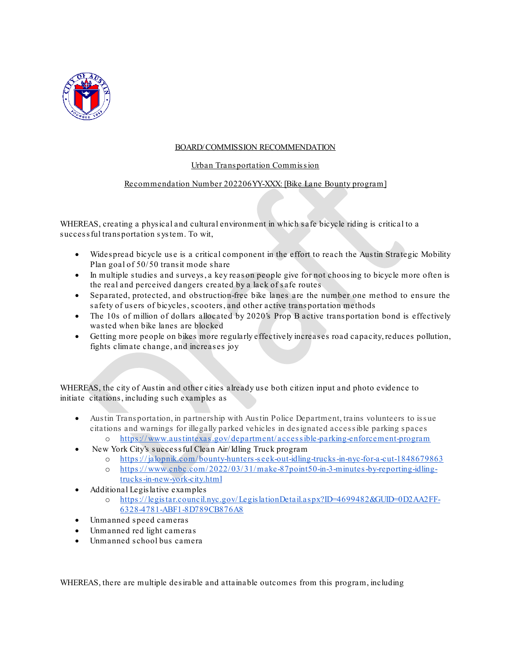

## BOARD/COMMISSION RECOMMENDATION

## Urban Transportation Commission

## Recommendation Number 202206YY-XXX: [Bike Lane Bounty program]

WHEREAS, creating a physical and cultural environment in which s afe bicycle riding is critical to a s ucces s ful trans portation s ys tem. To wit,

- Widespread bicycle use is a critical component in the effort to reach the Austin Strategic Mobility Plan goal of 50/50 transit mode share
- In multiple s tudies and s urveys , a key reas on people give for not choos ing to bicycle more often is the real and perceived dangers created by a lack of safe routes
- Separated, protected, and obs truction-free bike lanes are the number one method to ensure the s afety of us ers of bicycles , s cooters , and other active trans portation methods
- The 10s of million of dollars allocated by 2020's Prop B active transportation bond is effectively wasted when bike lanes are blocked
- Getting more people on bikes more regularly effectively increases road capacity, reduces pollution, fights climate change, and increases joy

WHEREAS, the city of Aus tin and other cities already us e both citizen input and photo evidence to initiate citations, including such examples as

- Aus tin Transportation, in partnership with Aus tin Police Department, trains volunteers to issue citations and warnings for illegally parked vehicles in des ignated acces s ible parking s paces o [https :/ / www.aus tintexas .gov/ department/ acces sible-parking-enforcement-program](https://www.austintexas.gov/department/accessible-parking-enforcement-program)
- New York City's s ucces s ful Clean Air/ Idling Truck program
	- o [https :/ / jalopnik.com/ bounty-hunters-seek-out-idling-trucks-in-nyc-for-a-cut-1848679863](https://jalopnik.com/bounty-hunters-seek-out-idling-trucks-in-nyc-for-a-cut-1848679863)
	- o [https :/ / www.cnbc.com/ 2022/ 03/ 31/ make-87point50-in-3-minutes-by-reporting-idling](https://www.cnbc.com/2022/03/31/make-87point50-in-3-minutes-by-reporting-idling-trucks-in-new-york-city.html)[trucks-in-new-york-city.html](https://www.cnbc.com/2022/03/31/make-87point50-in-3-minutes-by-reporting-idling-trucks-in-new-york-city.html)
- Additional Legis lative examples
	- o [https :/ / legis tar.council.nyc.gov/ LegislationDetail.aspx?ID=4699482&GUID=0D2AA2FF-](https://legistar.council.nyc.gov/LegislationDetail.aspx?ID=4699482&GUID=0D2AA2FF-6328-4781-ABF1-8D789CB876A8&Options=Advanced&Search=)[6328-4781-ABF1-8D789CB876A8](https://legistar.council.nyc.gov/LegislationDetail.aspx?ID=4699482&GUID=0D2AA2FF-6328-4781-ABF1-8D789CB876A8&Options=Advanced&Search=)
- Unmanned speed cameras
- Unmanned red light cameras
- Unmanned school bus camera

WHEREAS, there are multiple desirable and attainable outcomes from this program, including